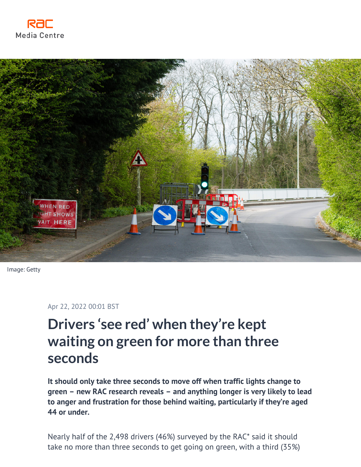



Image: Getty

Apr 22, 2022 00:01 BST

# **Drivers 'see red' when they're kept waiting on green for more than three seconds**

**It should only take three seconds to move off when traffic lights change to green – new RAC research reveals – and anything longer is very likely to lead to anger and frustration for those behind waiting, particularly if they're aged 44 or under.**

Nearly half of the 2,498 drivers (46%) surveyed by the RAC\* said it should take no more than three seconds to get going on green, with a third (35%)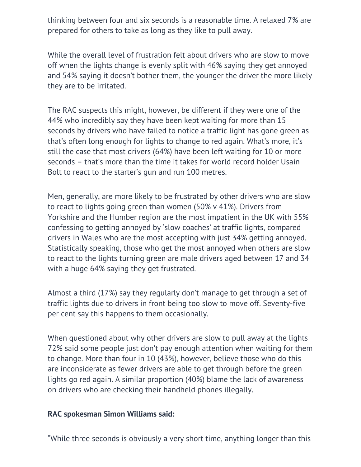thinking between four and six seconds is a reasonable time. A relaxed 7% are prepared for others to take as long as they like to pull away.

While the overall level of frustration felt about drivers who are slow to move off when the lights change is evenly split with 46% saying they get annoyed and 54% saying it doesn't bother them, the younger the driver the more likely they are to be irritated.

The RAC suspects this might, however, be different if they were one of the 44% who incredibly say they have been kept waiting for more than 15 seconds by drivers who have failed to notice a traffic light has gone green as that's often long enough for lights to change to red again. What's more, it's still the case that most drivers (64%) have been left waiting for 10 or more seconds – that's more than the time it takes for world record holder Usain Bolt to react to the starter's gun and run 100 metres.

Men, generally, are more likely to be frustrated by other drivers who are slow to react to lights going green than women (50% v 41%). Drivers from Yorkshire and the Humber region are the most impatient in the UK with 55% confessing to getting annoyed by 'slow coaches' at traffic lights, compared drivers in Wales who are the most accepting with just 34% getting annoyed. Statistically speaking, those who get the most annoyed when others are slow to react to the lights turning green are male drivers aged between 17 and 34 with a huge 64% saying they get frustrated.

Almost a third (17%) say they regularly don't manage to get through a set of traffic lights due to drivers in front being too slow to move off. Seventy-five per cent say this happens to them occasionally.

When questioned about why other drivers are slow to pull away at the lights 72% said some people just don't pay enough attention when waiting for them to change. More than four in 10 (43%), however, believe those who do this are inconsiderate as fewer drivers are able to get through before the green lights go red again. A similar proportion (40%) blame the lack of awareness on drivers who are checking their handheld phones illegally.

## **RAC spokesman Simon Williams said:**

"While three seconds is obviously a very short time, anything longer than this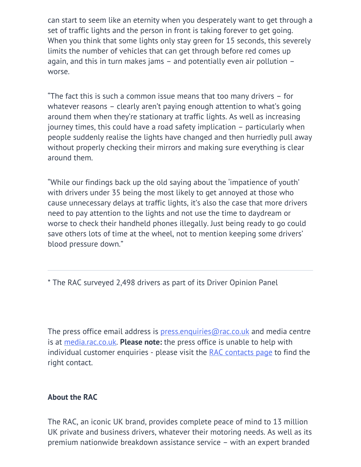can start to seem like an eternity when you desperately want to get through a set of traffic lights and the person in front is taking forever to get going. When you think that some lights only stay green for 15 seconds, this severely limits the number of vehicles that can get through before red comes up again, and this in turn makes jams – and potentially even air pollution – worse.

"The fact this is such a common issue means that too many drivers – for whatever reasons – clearly aren't paying enough attention to what's going around them when they're stationary at traffic lights. As well as increasing journey times, this could have a road safety implication – particularly when people suddenly realise the lights have changed and then hurriedly pull away without properly checking their mirrors and making sure everything is clear around them.

"While our findings back up the old saying about the 'impatience of youth' with drivers under 35 being the most likely to get annoyed at those who cause unnecessary delays at traffic lights, it's also the case that more drivers need to pay attention to the lights and not use the time to daydream or worse to check their handheld phones illegally. Just being ready to go could save others lots of time at the wheel, not to mention keeping some drivers' blood pressure down."

\* The RAC surveyed 2,498 drivers as part of its Driver Opinion Panel

The press office email address is  $p$ ress.enquiries@rac.co.uk and media centre is at [media.rac.co.uk](https://media.rac.co.uk). **Please note:** the press office is unable to help with individual customer enquiries - please visit the [RAC contacts page](https://www.rac.co.uk/contact-us) to find the right contact.

## **About the RAC**

The RAC, an iconic UK brand, provides complete peace of mind to 13 million UK private and business drivers, whatever their motoring needs. As well as its premium nationwide breakdown assistance service – with an expert branded